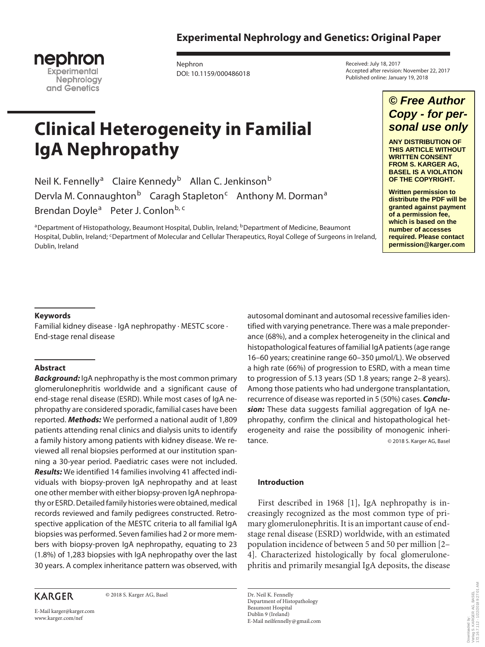# **Experimental Nephrology and Genetics: Original Paper**



Nephron DOI: 10.1159/000486018

**Clinical Heterogeneity in Familial IgA Nephropathy**

Neil K. Fennelly<sup>a</sup> Claire Kennedy<sup>b</sup> Allan C. Jenkinson<sup>b</sup> Dervla M. Connaughton<sup>b</sup> Caragh Stapleton<sup>c</sup> Anthony M. Dorman<sup>a</sup> Brendan Doyle<sup>a</sup> Peter J. Conlon<sup>b, c</sup>

<sup>a</sup>Department of Histopathology, Beaumont Hospital, Dublin, Ireland; <sup>b</sup>Department of Medicine, Beaumont Hospital, Dublin, Ireland; <sup>c</sup>Department of Molecular and Cellular Therapeutics, Royal College of Surgeons in Ireland, Dublin, Ireland

Received: July 18, 2017 Accepted after revision: November 22, 2017 Published online: January 19, 2018

# *© Free Author Copy - for personal use only*

**ANY DISTRIBUTION OF THIS ARTICLE WITHOUT WRITTEN CONSENT FROM S. KARGER AG, BASEL IS A VIOLATION OF THE COPYRIGHT.**

**Written permission to distribute the PDF will be granted against payment of a permission fee, which is based on the number of accesses required. Please contact permission@karger.com**

> Downloaded by: Verlag S. KARGER AG, BASEL 172.16.7.112 - 1/22/2018 9:27:01 AM

Downloaded by:<br>Verlag S. KARGER AG, BASEL<br>172.16.7.112 - 1/22/2018 9:27:01 AM

### **Keywords**

Familial kidney disease · IgA nephropathy · MESTC score · End-stage renal disease

### **Abstract**

*Background:* IgA nephropathy is the most common primary glomerulonephritis worldwide and a significant cause of end-stage renal disease (ESRD). While most cases of IgA nephropathy are considered sporadic, familial cases have been reported. *Methods:* We performed a national audit of 1,809 patients attending renal clinics and dialysis units to identify a family history among patients with kidney disease. We reviewed all renal biopsies performed at our institution spanning a 30-year period. Paediatric cases were not included. *Results:* We identified 14 families involving 41 affected individuals with biopsy-proven IgA nephropathy and at least one other member with either biopsy-proven IgA nephropathy or ESRD. Detailed family histories were obtained, medical records reviewed and family pedigrees constructed. Retrospective application of the MESTC criteria to all familial IgA biopsies was performed. Seven families had 2 or more members with biopsy-proven IgA nephropathy, equating to 23 (1.8%) of 1,283 biopsies with IgA nephropathy over the last 30 years. A complex inheritance pattern was observed, with

## **KARGER**

© 2018 S. Karger AG, Basel

E-Mail karger@karger.com www.karger.com/nef

autosomal dominant and autosomal recessive families identified with varying penetrance. There was a male preponderance (68%), and a complex heterogeneity in the clinical and histopathological features of familial IgA patients (age range 16–60 years; creatinine range 60–350 μmol/L). We observed a high rate (66%) of progression to ESRD, with a mean time to progression of 5.13 years (SD 1.8 years; range 2–8 years). Among those patients who had undergone transplantation, recurrence of disease was reported in 5 (50%) cases. *Conclusion:* These data suggests familial aggregation of IgA nephropathy, confirm the clinical and histopathological heterogeneity and raise the possibility of monogenic inheritance. **Example 2018** S. Karger AG, Basel

### **Introduction**

First described in 1968 [1], IgA nephropathy is increasingly recognized as the most common type of primary glomerulonephritis. It is an important cause of endstage renal disease (ESRD) worldwide, with an estimated population incidence of between 5 and 50 per million [2– 4]. Characterized histologically by focal glomerulonephritis and primarily mesangial IgA deposits, the disease

Dr. Neil K. Fennelly Department of Histopathology Beaumont Hospital Dublin 9 (Ireland) E-Mail neilfennelly@gmail.com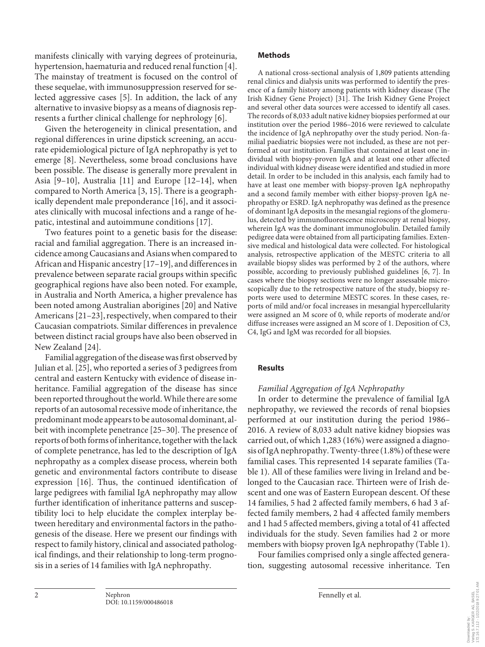manifests clinically with varying degrees of proteinuria, hypertension, haematuria and reduced renal function [4]. The mainstay of treatment is focused on the control of these sequelae, with immunosuppression reserved for selected aggressive cases [5]. In addition, the lack of any alternative to invasive biopsy as a means of diagnosis represents a further clinical challenge for nephrology [6].

Given the heterogeneity in clinical presentation, and regional differences in urine dipstick screening, an accurate epidemiological picture of IgA nephropathy is yet to emerge [8]. Nevertheless, some broad conclusions have been possible. The disease is generally more prevalent in Asia [9–10], Australia [11] and Europe [12–14], when compared to North America [3, 15]. There is a geographically dependent male preponderance [16], and it associates clinically with mucosal infections and a range of hepatic, intestinal and autoimmune conditions [17].

Two features point to a genetic basis for the disease: racial and familial aggregation. There is an increased incidence among Caucasians and Asians when compared to African and Hispanic ancestry [17–19], and differences in prevalence between separate racial groups within specific geographical regions have also been noted. For example, in Australia and North America, a higher prevalence has been noted among Australian aborigines [20] and Native Americans [21–23], respectively, when compared to their Caucasian compatriots. Similar differences in prevalence between distinct racial groups have also been observed in New Zealand [24].

Familial aggregation of the disease was first observed by Julian et al. [25], who reported a series of 3 pedigrees from central and eastern Kentucky with evidence of disease inheritance. Familial aggregation of the disease has since been reported throughout the world. While there are some reports of an autosomal recessive mode of inheritance, the predominant mode appears to be autosomal dominant, albeit with incomplete penetrance [25–30]. The presence of reports of both forms of inheritance, together with the lack of complete penetrance, has led to the description of IgA nephropathy as a complex disease process, wherein both genetic and environmental factors contribute to disease expression [16]. Thus, the continued identification of large pedigrees with familial IgA nephropathy may allow further identification of inheritance patterns and susceptibility loci to help elucidate the complex interplay between hereditary and environmental factors in the pathogenesis of the disease. Here we present our findings with respect to family history, clinical and associated pathological findings, and their relationship to long-term prognosis in a series of 14 families with IgA nephropathy.

### **Methods**

A national cross-sectional analysis of 1,809 patients attending renal clinics and dialysis units was performed to identify the presence of a family history among patients with kidney disease (The Irish Kidney Gene Project) [31]. The Irish Kidney Gene Project and several other data sources were accessed to identify all cases. The records of 8,033 adult native kidney biopsies performed at our institution over the period 1986–2016 were reviewed to calculate the incidence of IgA nephropathy over the study period. Non-familial paediatric biopsies were not included, as these are not performed at our institution. Families that contained at least one individual with biopsy-proven IgA and at least one other affected individual with kidney disease were identified and studied in more detail. In order to be included in this analysis, each family had to have at least one member with biopsy-proven IgA nephropathy and a second family member with either biopsy-proven IgA nephropathy or ESRD. IgA nephropathy was defined as the presence of dominant IgA deposits in the mesangial regions of the glomerulus, detected by immunofluorescence microscopy at renal biopsy, wherein IgA was the dominant immunoglobulin. Detailed family pedigree data were obtained from all participating families. Extensive medical and histological data were collected. For histological analysis, retrospective application of the MESTC criteria to all available biopsy slides was performed by 2 of the authors, where possible, according to previously published guidelines [6, 7]. In cases where the biopsy sections were no longer assessable microscopically due to the retrospective nature of the study, biopsy reports were used to determine MESTC scores. In these cases, reports of mild and/or focal increases in mesangial hypercellularity were assigned an M score of 0, while reports of moderate and/or diffuse increases were assigned an M score of 1. Deposition of C3, C4, IgG and IgM was recorded for all biopsies.

### **Results**

### *Familial Aggregation of IgA Nephropathy*

In order to determine the prevalence of familial IgA nephropathy, we reviewed the records of renal biopsies performed at our institution during the period 1986– 2016. A review of 8,033 adult native kidney biopsies was carried out, of which 1,283 (16%) were assigned a diagnosis of IgA nephropathy. Twenty-three (1.8%) of these were familial cases. This represented 14 separate families (Table 1). All of these families were living in Ireland and belonged to the Caucasian race. Thirteen were of Irish descent and one was of Eastern European descent. Of these 14 families, 5 had 2 affected family members, 6 had 3 affected family members, 2 had 4 affected family members and 1 had 5 affected members, giving a total of 41 affected individuals for the study. Seven families had 2 or more members with biopsy proven IgA nephropathy (Table 1).

Four families comprised only a single affected generation, suggesting autosomal recessive inheritance. Ten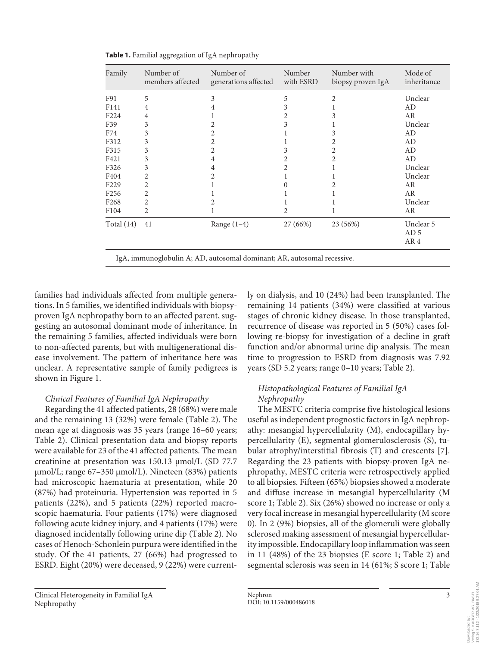| Family           | Number of<br>members affected | Number of<br>generations affected | Number<br>with ESRD | Number with<br>biopsy proven IgA | Mode of<br>inheritance |
|------------------|-------------------------------|-----------------------------------|---------------------|----------------------------------|------------------------|
| F91              | 5                             | 3                                 | 5                   | 2                                | Unclear                |
| F141             | 4                             | 4                                 | 3                   |                                  | AD                     |
| F224             | 4                             |                                   |                     | 3                                | <b>AR</b>              |
| F39              | 3                             | 2.                                | 3                   |                                  | Unclear                |
| F74              | 3                             | 2                                 |                     | 3                                | AD                     |
| F312             | 3                             | 2                                 |                     | 2                                | AD                     |
| F315             | 3                             | 2                                 | 3                   | 2                                | AD                     |
| F421             | 3                             | 4                                 |                     | 2                                | AD                     |
| F326             | 3                             | 4                                 | 2                   |                                  | Unclear                |
| F404             | 2                             | 2                                 |                     |                                  | Unclear                |
| F <sub>229</sub> | 2                             |                                   |                     | 2                                | AR                     |
| F <sub>256</sub> | 2                             |                                   |                     |                                  | AR                     |
| F <sub>268</sub> | 2                             |                                   |                     |                                  | Unclear                |
| F104             | 2                             |                                   | 2                   |                                  | AR                     |
| Total $(14)$     | 41                            | Range $(1-4)$                     | 27 (66%)            | 23 (56%)                         | Unclear 5              |
|                  |                               |                                   |                     |                                  | AD <sub>5</sub>        |
|                  |                               |                                   |                     |                                  | AR4                    |

**Table 1.** Familial aggregation of IgA nephropathy

families had individuals affected from multiple generations. In 5 families, we identified individuals with biopsyproven IgA nephropathy born to an affected parent, suggesting an autosomal dominant mode of inheritance. In the remaining 5 families, affected individuals were born to non-affected parents, but with multigenerational disease involvement. The pattern of inheritance here was unclear. A representative sample of family pedigrees is shown in Figure 1.

### *Clinical Features of Familial IgA Nephropathy*

Regarding the 41 affected patients, 28 (68%) were male and the remaining 13 (32%) were female (Table 2). The mean age at diagnosis was 35 years (range 16–60 years; Table 2). Clinical presentation data and biopsy reports were available for 23 of the 41 affected patients. The mean creatinine at presentation was 150.13 μmol/L (SD 77.7 μmol/L; range 67–350 μmol/L). Nineteen (83%) patients had microscopic haematuria at presentation, while 20 (87%) had proteinuria. Hypertension was reported in 5 patients (22%), and 5 patients (22%) reported macroscopic haematuria. Four patients (17%) were diagnosed following acute kidney injury, and 4 patients (17%) were diagnosed incidentally following urine dip (Table 2). No cases of Henoch-Schonlein purpura were identified in the study. Of the 41 patients, 27 (66%) had progressed to ESRD. Eight (20%) were deceased, 9 (22%) were currently on dialysis, and 10 (24%) had been transplanted. The remaining 14 patients (34%) were classified at various stages of chronic kidney disease. In those transplanted, recurrence of disease was reported in 5 (50%) cases following re-biopsy for investigation of a decline in graft function and/or abnormal urine dip analysis. The mean time to progression to ESRD from diagnosis was 7.92 years (SD 5.2 years; range 0–10 years; Table 2).

### *Histopathological Features of Familial IgA Nephropathy*

The MESTC criteria comprise five histological lesions useful as independent prognostic factors in IgA nephropathy: mesangial hypercellularity (M), endocapillary hypercellularity (E), segmental glomerulosclerosis (S), tubular atrophy/interstitial fibrosis (T) and crescents [7]. Regarding the 23 patients with biopsy-proven IgA nephropathy, MESTC criteria were retrospectively applied to all biopsies. Fifteen (65%) biopsies showed a moderate and diffuse increase in mesangial hypercellularity (M score 1; Table 2). Six (26%) showed no increase or only a very focal increase in mesangial hypercellularity (M score 0). In 2 (9%) biopsies, all of the glomeruli were globally sclerosed making assessment of mesangial hypercellularity impossible. Endocapillary loop inflammation was seen in 11 (48%) of the 23 biopsies (E score 1; Table 2) and segmental sclerosis was seen in 14 (61%; S score 1; Table

GER AG, BASEL<br>1/22/2018 9:27:01 AM 172.16.7.112 - 1/22/2018 9:27:01 AMVerlag S. KARGER AG, BASEL Downloaded by: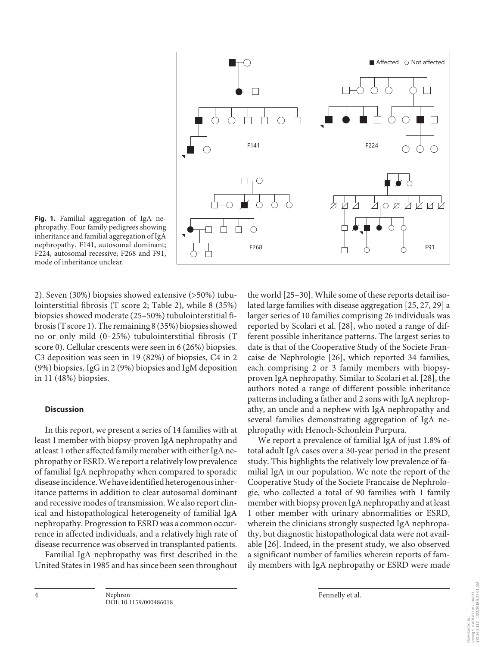

**Fig. 1.** Familial aggregation of IgA nephropathy. Four family pedigrees showing inheritance and familial aggregation of IgA nephropathy. F141, autosomal dominant; F224, autosomal recessive; F268 and F91, mode of inheritance unclear.

2). Seven (30%) biopsies showed extensive (>50%) tubulointerstitial fibrosis (T score 2; Table 2), while 8 (35%) biopsies showed moderate (25–50%) tubulointerstitial fibrosis (T score 1). The remaining 8 (35%) biopsies showed no or only mild (0–25%) tubulointerstitial fibrosis (T score 0). Cellular crescents were seen in 6 (26%) biopsies. C3 deposition was seen in 19 (82%) of biopsies, C4 in 2 (9%) biopsies, IgG in 2 (9%) biopsies and IgM deposition in 11 (48%) biopsies.

### **Discussion**

In this report, we present a series of 14 families with at least 1 member with biopsy-proven IgA nephropathy and at least 1 other affected family member with either IgA nephropathy or ESRD. We report a relatively low prevalence of familial IgA nephropathy when compared to sporadic disease incidence. We have identified heterogenous inheritance patterns in addition to clear autosomal dominant and recessive modes of transmission. We also report clinical and histopathological heterogeneity of familial IgA nephropathy. Progression to ESRD was a common occurrence in affected individuals, and a relatively high rate of disease recurrence was observed in transplanted patients.

Familial IgA nephropathy was first described in the United States in 1985 and has since been seen throughout the world [25–30]. While some of these reports detail isolated large families with disease aggregation [25, 27, 29] a larger series of 10 families comprising 26 individuals was reported by Scolari et al. [28], who noted a range of different possible inheritance patterns. The largest series to date is that of the Cooperative Study of the Societe Francaise de Nephrologie [26], which reported 34 families, each comprising 2 or 3 family members with biopsyproven IgA nephropathy. Similar to Scolari et al. [28], the authors noted a range of different possible inheritance patterns including a father and 2 sons with IgA nephropathy, an uncle and a nephew with IgA nephropathy and several families demonstrating aggregation of IgA nephropathy with Henoch-Schonlein Purpura.

We report a prevalence of familial IgA of just 1.8% of total adult IgA cases over a 30-year period in the present study. This highlights the relatively low prevalence of familial IgA in our population. We note the report of the Cooperative Study of the Societe Francaise de Nephrologie, who collected a total of 90 families with 1 family member with biopsy proven IgA nephropathy and at least 1 other member with urinary abnormalities or ESRD, wherein the clinicians strongly suspected IgA nephropathy, but diagnostic histopathological data were not available [26]. Indeed, in the present study, we also observed a significant number of families wherein reports of family members with IgA nephropathy or ESRD were made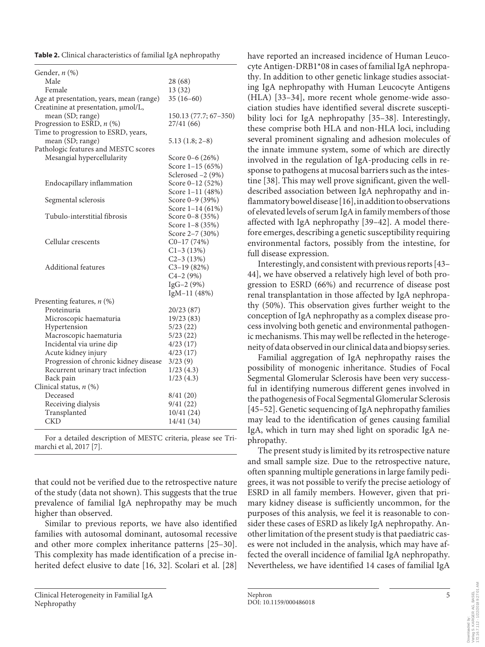**Table 2.** Clinical characteristics of familial IgA nephropathy

| Male<br>28(68)<br>Female<br>13 (32)<br>$35(16-60)$<br>Creatinine at presentation, µmol/L,<br>mean (SD; range)<br>150.13 (77.7; 67-350)<br>Progression to ESRD, n (%)<br>27/41 (66)<br>Time to progression to ESRD, years,<br>mean (SD; range)<br>$5.13(1.8; 2-8)$<br>Pathologic features and MESTC scores<br>Mesangial hypercellularity<br>Score $0-6(26%)$<br>Score $1-15(65%)$<br>Sclerosed -2 (9%)<br>Score 0-12 (52%)<br>Endocapillary inflammation<br>Score 1-11 (48%)<br>Segmental sclerosis<br>Score $0-9$ (39%)<br>Score $1-14(61\%)$<br>Tubulo-interstitial fibrosis<br>Score $0-8$ (35%)<br>Score 1-8 (35%)<br>Score 2-7 (30%)<br>Cellular crescents<br>$C0-17(74%)$<br>$C1-3(13%)$<br>$C2 - 3(13%)$<br>Additional features<br>$C3-19(82%)$<br>$C4-2(9%)$<br>$IgG-2(9%)$<br>IgM-11 (48%)<br>Presenting features, $n$ (%)<br>Proteinuria<br>20/23 (87)<br>19/23 (83)<br>Microscopic haematuria<br>5/23(22)<br>Hypertension<br>5/23(22)<br>Macroscopic haematuria<br>4/23(17)<br>Incidental via urine dip<br>4/23(17)<br>Acute kidney injury<br>Progression of chronic kidney disease<br>3/23(9)<br>Recurrent urinary tract infection<br>1/23(4.3)<br>1/23(4.3)<br>Back pain<br>Deceased<br>8/41(20)<br>Receiving dialysis<br>9/41(22)<br>10/41 (24)<br>Transplanted<br>14/41 (34)<br>CKD | Gender, $n$ $(\%)$                       |  |
|---------------------------------------------------------------------------------------------------------------------------------------------------------------------------------------------------------------------------------------------------------------------------------------------------------------------------------------------------------------------------------------------------------------------------------------------------------------------------------------------------------------------------------------------------------------------------------------------------------------------------------------------------------------------------------------------------------------------------------------------------------------------------------------------------------------------------------------------------------------------------------------------------------------------------------------------------------------------------------------------------------------------------------------------------------------------------------------------------------------------------------------------------------------------------------------------------------------------------------------------------------------------------------------------------|------------------------------------------|--|
|                                                                                                                                                                                                                                                                                                                                                                                                                                                                                                                                                                                                                                                                                                                                                                                                                                                                                                                                                                                                                                                                                                                                                                                                                                                                                                   |                                          |  |
|                                                                                                                                                                                                                                                                                                                                                                                                                                                                                                                                                                                                                                                                                                                                                                                                                                                                                                                                                                                                                                                                                                                                                                                                                                                                                                   |                                          |  |
|                                                                                                                                                                                                                                                                                                                                                                                                                                                                                                                                                                                                                                                                                                                                                                                                                                                                                                                                                                                                                                                                                                                                                                                                                                                                                                   | Age at presentation, years, mean (range) |  |
|                                                                                                                                                                                                                                                                                                                                                                                                                                                                                                                                                                                                                                                                                                                                                                                                                                                                                                                                                                                                                                                                                                                                                                                                                                                                                                   |                                          |  |
|                                                                                                                                                                                                                                                                                                                                                                                                                                                                                                                                                                                                                                                                                                                                                                                                                                                                                                                                                                                                                                                                                                                                                                                                                                                                                                   |                                          |  |
|                                                                                                                                                                                                                                                                                                                                                                                                                                                                                                                                                                                                                                                                                                                                                                                                                                                                                                                                                                                                                                                                                                                                                                                                                                                                                                   |                                          |  |
|                                                                                                                                                                                                                                                                                                                                                                                                                                                                                                                                                                                                                                                                                                                                                                                                                                                                                                                                                                                                                                                                                                                                                                                                                                                                                                   |                                          |  |
|                                                                                                                                                                                                                                                                                                                                                                                                                                                                                                                                                                                                                                                                                                                                                                                                                                                                                                                                                                                                                                                                                                                                                                                                                                                                                                   |                                          |  |
|                                                                                                                                                                                                                                                                                                                                                                                                                                                                                                                                                                                                                                                                                                                                                                                                                                                                                                                                                                                                                                                                                                                                                                                                                                                                                                   |                                          |  |
|                                                                                                                                                                                                                                                                                                                                                                                                                                                                                                                                                                                                                                                                                                                                                                                                                                                                                                                                                                                                                                                                                                                                                                                                                                                                                                   |                                          |  |
|                                                                                                                                                                                                                                                                                                                                                                                                                                                                                                                                                                                                                                                                                                                                                                                                                                                                                                                                                                                                                                                                                                                                                                                                                                                                                                   |                                          |  |
|                                                                                                                                                                                                                                                                                                                                                                                                                                                                                                                                                                                                                                                                                                                                                                                                                                                                                                                                                                                                                                                                                                                                                                                                                                                                                                   |                                          |  |
|                                                                                                                                                                                                                                                                                                                                                                                                                                                                                                                                                                                                                                                                                                                                                                                                                                                                                                                                                                                                                                                                                                                                                                                                                                                                                                   |                                          |  |
|                                                                                                                                                                                                                                                                                                                                                                                                                                                                                                                                                                                                                                                                                                                                                                                                                                                                                                                                                                                                                                                                                                                                                                                                                                                                                                   |                                          |  |
|                                                                                                                                                                                                                                                                                                                                                                                                                                                                                                                                                                                                                                                                                                                                                                                                                                                                                                                                                                                                                                                                                                                                                                                                                                                                                                   |                                          |  |
|                                                                                                                                                                                                                                                                                                                                                                                                                                                                                                                                                                                                                                                                                                                                                                                                                                                                                                                                                                                                                                                                                                                                                                                                                                                                                                   |                                          |  |
|                                                                                                                                                                                                                                                                                                                                                                                                                                                                                                                                                                                                                                                                                                                                                                                                                                                                                                                                                                                                                                                                                                                                                                                                                                                                                                   |                                          |  |
|                                                                                                                                                                                                                                                                                                                                                                                                                                                                                                                                                                                                                                                                                                                                                                                                                                                                                                                                                                                                                                                                                                                                                                                                                                                                                                   |                                          |  |
|                                                                                                                                                                                                                                                                                                                                                                                                                                                                                                                                                                                                                                                                                                                                                                                                                                                                                                                                                                                                                                                                                                                                                                                                                                                                                                   |                                          |  |
|                                                                                                                                                                                                                                                                                                                                                                                                                                                                                                                                                                                                                                                                                                                                                                                                                                                                                                                                                                                                                                                                                                                                                                                                                                                                                                   |                                          |  |
|                                                                                                                                                                                                                                                                                                                                                                                                                                                                                                                                                                                                                                                                                                                                                                                                                                                                                                                                                                                                                                                                                                                                                                                                                                                                                                   |                                          |  |
|                                                                                                                                                                                                                                                                                                                                                                                                                                                                                                                                                                                                                                                                                                                                                                                                                                                                                                                                                                                                                                                                                                                                                                                                                                                                                                   |                                          |  |
|                                                                                                                                                                                                                                                                                                                                                                                                                                                                                                                                                                                                                                                                                                                                                                                                                                                                                                                                                                                                                                                                                                                                                                                                                                                                                                   |                                          |  |
|                                                                                                                                                                                                                                                                                                                                                                                                                                                                                                                                                                                                                                                                                                                                                                                                                                                                                                                                                                                                                                                                                                                                                                                                                                                                                                   |                                          |  |
|                                                                                                                                                                                                                                                                                                                                                                                                                                                                                                                                                                                                                                                                                                                                                                                                                                                                                                                                                                                                                                                                                                                                                                                                                                                                                                   |                                          |  |
|                                                                                                                                                                                                                                                                                                                                                                                                                                                                                                                                                                                                                                                                                                                                                                                                                                                                                                                                                                                                                                                                                                                                                                                                                                                                                                   |                                          |  |
|                                                                                                                                                                                                                                                                                                                                                                                                                                                                                                                                                                                                                                                                                                                                                                                                                                                                                                                                                                                                                                                                                                                                                                                                                                                                                                   |                                          |  |
|                                                                                                                                                                                                                                                                                                                                                                                                                                                                                                                                                                                                                                                                                                                                                                                                                                                                                                                                                                                                                                                                                                                                                                                                                                                                                                   |                                          |  |
|                                                                                                                                                                                                                                                                                                                                                                                                                                                                                                                                                                                                                                                                                                                                                                                                                                                                                                                                                                                                                                                                                                                                                                                                                                                                                                   |                                          |  |
|                                                                                                                                                                                                                                                                                                                                                                                                                                                                                                                                                                                                                                                                                                                                                                                                                                                                                                                                                                                                                                                                                                                                                                                                                                                                                                   |                                          |  |
|                                                                                                                                                                                                                                                                                                                                                                                                                                                                                                                                                                                                                                                                                                                                                                                                                                                                                                                                                                                                                                                                                                                                                                                                                                                                                                   |                                          |  |
|                                                                                                                                                                                                                                                                                                                                                                                                                                                                                                                                                                                                                                                                                                                                                                                                                                                                                                                                                                                                                                                                                                                                                                                                                                                                                                   |                                          |  |
|                                                                                                                                                                                                                                                                                                                                                                                                                                                                                                                                                                                                                                                                                                                                                                                                                                                                                                                                                                                                                                                                                                                                                                                                                                                                                                   |                                          |  |
|                                                                                                                                                                                                                                                                                                                                                                                                                                                                                                                                                                                                                                                                                                                                                                                                                                                                                                                                                                                                                                                                                                                                                                                                                                                                                                   |                                          |  |
|                                                                                                                                                                                                                                                                                                                                                                                                                                                                                                                                                                                                                                                                                                                                                                                                                                                                                                                                                                                                                                                                                                                                                                                                                                                                                                   |                                          |  |
|                                                                                                                                                                                                                                                                                                                                                                                                                                                                                                                                                                                                                                                                                                                                                                                                                                                                                                                                                                                                                                                                                                                                                                                                                                                                                                   | Clinical status, $n$ (%)                 |  |
|                                                                                                                                                                                                                                                                                                                                                                                                                                                                                                                                                                                                                                                                                                                                                                                                                                                                                                                                                                                                                                                                                                                                                                                                                                                                                                   |                                          |  |
|                                                                                                                                                                                                                                                                                                                                                                                                                                                                                                                                                                                                                                                                                                                                                                                                                                                                                                                                                                                                                                                                                                                                                                                                                                                                                                   |                                          |  |
|                                                                                                                                                                                                                                                                                                                                                                                                                                                                                                                                                                                                                                                                                                                                                                                                                                                                                                                                                                                                                                                                                                                                                                                                                                                                                                   |                                          |  |
|                                                                                                                                                                                                                                                                                                                                                                                                                                                                                                                                                                                                                                                                                                                                                                                                                                                                                                                                                                                                                                                                                                                                                                                                                                                                                                   |                                          |  |

For a detailed description of MESTC criteria, please see Trimarchi et al, 2017 [7].

that could not be verified due to the retrospective nature of the study (data not shown). This suggests that the true prevalence of familial IgA nephropathy may be much higher than observed.

Similar to previous reports, we have also identified families with autosomal dominant, autosomal recessive and other more complex inheritance patterns [25–30]. This complexity has made identification of a precise inherited defect elusive to date [16, 32]. Scolari et al. [28] have reported an increased incidence of Human Leucocyte Antigen-DRB1\*08 in cases of familial IgA nephropathy. In addition to other genetic linkage studies associating IgA nephropathy with Human Leucocyte Antigens (HLA) [33–34], more recent whole genome-wide association studies have identified several discrete susceptibility loci for IgA nephropathy [35–38]. Interestingly, these comprise both HLA and non-HLA loci, including several prominent signaling and adhesion molecules of the innate immune system, some of which are directly involved in the regulation of IgA-producing cells in response to pathogens at mucosal barriers such as the intestine [38]. This may well prove significant, given the welldescribed association between IgA nephropathy and inflammatory bowel disease [16], in addition to observations of elevated levels of serum IgA in family members of those affected with IgA nephropathy [39–42]. A model therefore emerges, describing a genetic susceptibility requiring environmental factors, possibly from the intestine, for full disease expression.

Interestingly, and consistent with previous reports [43– 44], we have observed a relatively high level of both progression to ESRD (66%) and recurrence of disease post renal transplantation in those affected by IgA nephropathy (50%). This observation gives further weight to the conception of IgA nephropathy as a complex disease process involving both genetic and environmental pathogenic mechanisms. This may well be reflected in the heterogeneity of data observed in our clinical data and biopsy series.

Familial aggregation of IgA nephropathy raises the possibility of monogenic inheritance. Studies of Focal Segmental Glomerular Sclerosis have been very successful in identifying numerous different genes involved in the pathogenesis of Focal Segmental Glomerular Sclerosis [45–52]. Genetic sequencing of IgA nephropathy families may lead to the identification of genes causing familial IgA, which in turn may shed light on sporadic IgA nephropathy.

The present study is limited by its retrospective nature and small sample size. Due to the retrospective nature, often spanning multiple generations in large family pedigrees, it was not possible to verify the precise aetiology of ESRD in all family members. However, given that primary kidney disease is sufficiently uncommon, for the purposes of this analysis, we feel it is reasonable to consider these cases of ESRD as likely IgA nephropathy. Another limitation of the present study is that paediatric cases were not included in the analysis, which may have affected the overall incidence of familial IgA nephropathy. Nevertheless, we have identified 14 cases of familial IgA

**GER AG, BASEL<br>1/22/2018 9:27:01 AM** 172.16.7.112 - 1/22/2018 9:27:01 AMVerlag S. KARGER AG, BASEL Downloaded by: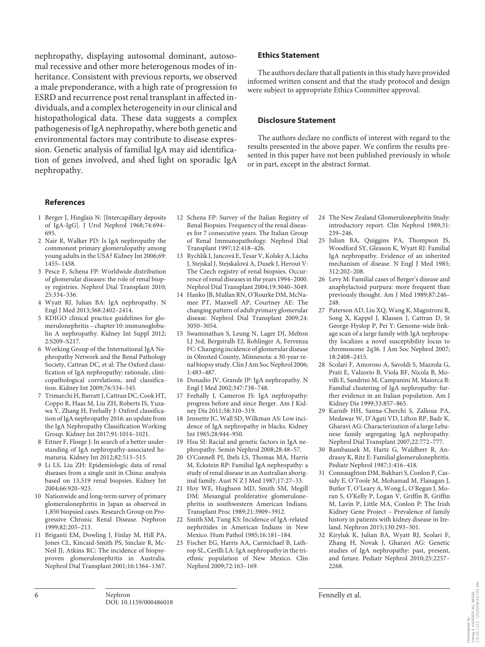nephropathy, displaying autosomal dominant, autosomal recessive and other more heterogenous modes of inheritance. Consistent with previous reports, we observed a male preponderance, with a high rate of progression to ESRD and recurrence post renal transplant in affected individuals, and a complex heterogeneity in our clinical and histopathological data. These data suggests a complex pathogenesis of IgA nephropathy, where both genetic and environmental factors may contribute to disease expression. Genetic analysis of familial IgA may aid identification of genes involved, and shed light on sporadic IgA nephropathy.

### **References**

- 1 Berger J, Hinglais N: [Intercapillary deposits of IgA-IgG]. J Urol Nephrol 1968;74:694– 695.
- 2 Nair R, Walker PD: Is IgA nephropathy the commonest primary glomerulopathy among young adults in the USA? Kidney Int 2006;69: 1455–1458.
- 3 Pesce F, Schena FP: Worldwide distribution of glomerular diseases: the role of renal biopsy registries. Nephrol Dial Transplant 2010; 25:334–336.
- 4 Wyatt RJ, Julian BA: IgA nephropathy. N Engl J Med 2013;368:2402–2414.
- 5 KDIGO clinical practice guidelines for glomerulonephritis – chapter 10: immunoglobulin A nephropathy. Kidney Int Suppl 2012; 2:S209–S217.
- 6 Working Group of the International IgA Nephropathy Network and the Renal Pathology Society, Cattran DC, et al: The Oxford classification of IgA nephropathy: rationale, clinicopathological correlations, and classification. Kidney Int 2009;76:534–545.
- 7 Trimarchi H, Barratt J, Cattran DC, Cook HT, Coppo R, Haas M, Liu ZH, Roberts IS, Yuzawa Y, Zhang H, Feehally J: Oxford classification of IgA nephropathy 2016: an update from the IgA Nephropathy Classification Working Group. Kidney Int 2017;91:1014–1021.
- 8 Eitner F, Floege J: In search of a better understanding of IgA nephropathy-associated hematuria. Kidney Int 2012;82:513–515.
- 9 Li LS, Liu ZH: Epidemiologic data of renal diseases from a single unit in China: analysis based on 13,519 renal biopsies. Kidney Int 2004;66:920–923.
- 10 Nationwide and long-term survey of primary glomerulonephritis in Japan as observed in 1,850 biopsied cases. Research Group on Progressive Chronic Renal Disease. Nephron 1999;82:205–213.
- 11 Briganti EM, Dowling J, Finlay M, Hill PA, Jones CL, Kincaid-Smith PS, Sinclair R, Mc-Neil JJ, Atkins RC: The incidence of biopsyproven glomerulonephritis in Australia. Nephrol Dial Transplant 2001;16:1364–1367.

#### **Ethics Statement**

The authors declare that all patients in this study have provided informed written consent and that the study protocol and design were subject to appropriate Ethics Committee approval.

#### **Disclosure Statement**

The authors declare no conflicts of interest with regard to the results presented in the above paper. We confirm the results presented in this paper have not been published previously in whole or in part, except in the abstract format.

- 12 Schena FP: Survey of the Italian Registry of Renal Biopsies. Frequency of the renal diseases for 7 consecutive years. The Italian Group of Renal Immunopathology. Nephrol Dial Transplant 1997;12:418–426.
- 13 Rychlík I, Jancová E, Tesar V, Kolsky A, Lácha J, Stejskal J, Stejskalová A, Dusek J, Herout V: The Czech registry of renal biopsies. Occurrence of renal diseases in the years 1994–2000. Nephrol Dial Transplant 2004;19:3040–3049.
- 14 Hanko JB, Mullan RN, O'Rourke DM, McNamee PT, Maxwell AP, Courtney AE: The changing pattern of adult primary glomerular disease. Nephrol Dial Transplant 2009;24: 3050–3054.
- 15 Swaminathan S, Leung N, Lager DJ, Melton LJ 3rd, Bergstralh EJ, Rohlinger A, Fervenza FC: Changing incidence of glomerular disease in Olmsted County, Minnesota: a 30-year renal biopsy study. Clin J Am Soc Nephrol 2006; 1:483–487.
- 16 Donadio JV, Grande JP: IgA nephropathy. N Engl J Med 2002;347:738–748.
- 17 Feehally J, Cameron JS: IgA nephropathy: progress before and since Berger. Am J Kidney Dis 2011;58:310–319.
- 18 Jennette JC, Wall SD, Wilkman AS: Low incidence of IgA nephropathy in blacks. Kidney Int 1985;28:944–950.
- 19 Hsu SI: Racial and genetic factors in IgA nephropathy. Semin Nephrol 2008;28:48–57.
- 20 O'Connell PJ, Ibels LS, Thomas MA, Harris M, Eckstein RP: Familial IgA nephropathy: a study of renal disease in an Australian aboriginal family. Aust N Z J Med 1987;17:27–33.
- 21 Hoy WE, Hughson MD, Smith SM, Megill DM: Mesangial proliferative glomerulonephritis in southwestern American Indians. Transplant Proc 1989;21:3909–3912.
- 22 Smith SM, Tung KS: Incidence of IgA-related nephritides in American Indians in New Mexico. Hum Pathol 1985;16:181–184.
- 23 Fischer EG, Harris AA, Carmichael B, Lathrop SL, Cerilli LA: IgA nephropathy in the triethnic population of New Mexico. Clin Nephrol 2009;72:163–169.
- 24 The New Zealand Glomerulonephritis Study: introductory report. Clin Nephrol 1989;31: 239–246.
- 25 Julian BA, Quiggins PA, Thompson JS, Woodford SY, Gleason K, Wyatt RJ: Familial IgA nephropathy. Evidence of an inherited mechanism of disease. N Engl J Med 1985; 312:202–208.
- 26 Levy M: Familial cases of Berger's disease and anaphylactoid purpura: more frequent than previously thought. Am J Med 1989;87:246– 248.
- 27 Paterson AD, Liu XQ, Wang K, Magistroni R, Song X, Kappel J, Klassen J, Cattran D, St George-Hyslop P, Pei Y: Genome-wide linkage scan of a large family with IgA nephropathy localizes a novel susceptibility locus to chromosome 2q36. J Am Soc Nephrol 2007; 18:2408–2415.
- 28 Scolari F, Amoroso A, Savoldi S, Mazzola G, Prati E, Valzorio B, Viola BF, Nicola B, Movilli E, Sandrini M, Campanini M, Maiorca R: Familial clustering of IgA nephropathy: further evidence in an Italian population. Am J Kidney Dis 1999;33:857–865.
- 29 Karnib HH, Sanna-Cherchi S, Zalloua PA, Medawar W, D'Agati VD, Lifton RP, Badr K, Gharavi AG: Characterization of a large Lebanese family segregating IgA nephropathy. Nephrol Dial Transplant 2007;22:772–777.
- 30 Rambausek M, Hartz G, Waldherr R, Andrassy K, Ritz E: Familial glomerulonephritis. Pediatr Nephrol 1987;1:416–418.
- 31 Connaughton DM, Bukhari S, Conlon P, Cassidy E, O'Toole M, Mohamad M, Flanagan J, Butler T, O'Leary A, Wong L, O'Regan J, Moran S, O'Kelly P, Logan V, Griffin B, Griffin M, Lavin P, Little MA, Conlon P: The Irish Kidney Gene Project – Prevalence of family history in patients with kidney disease in Ireland. Nephron 2015;130:293–301.
- 32 Kiryluk K, Julian BA, Wyatt RJ, Scolari F, Zhang H, Novak J, Gharavi AG: Genetic studies of IgA nephropathy: past, present, and future. Pediatr Nephrol 2010;25:2257– 2268.